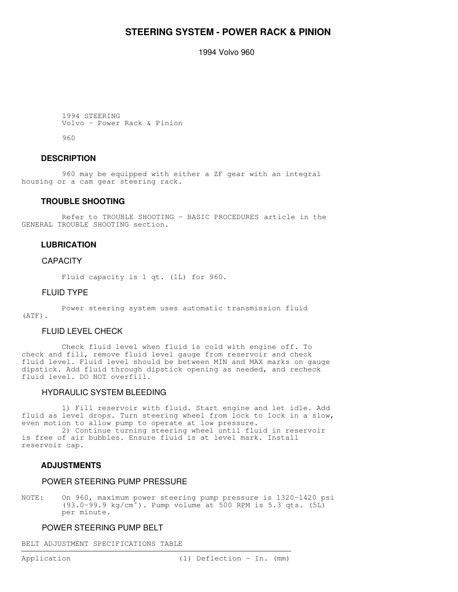## **STEERING SYSTEM - POWER RACK & PINION**

1994 Volvo 960

```
 1994 STEERING
 Volvo - Power Rack & Pinion
```
960

#### **DESCRIPTION**

 960 may be equipped with either a ZF gear with an integral housing or a cam gear steering rack.

#### **TROUBLE SHOOTING**

 Refer to TROUBLE SHOOTING - BASIC PROCEDURES article in the GENERAL TROUBLE SHOOTING section.

#### **LUBRICATION**

#### **CAPACITY**

Fluid capacity is 1 qt. (1L) for 960.

#### FLUID TYPE

Power steering system uses automatic transmission fluid

## (ATF).

#### FLUID LEVEL CHECK

 Check fluid level when fluid is cold with engine off. To check and fill, remove fluid level gauge from reservoir and check fluid level. Fluid level should be between MIN and MAX marks on gauge dipstick. Add fluid through dipstick opening as needed, and recheck fluid level. DO NOT overfill.

#### HYDRAULIC SYSTEM BLEEDING

 1) Fill reservoir with fluid. Start engine and let idle. Add fluid as level drops. Turn steering wheel from lock to lock in a slow, even motion to allow pump to operate at low pressure.

 2) Continue turning steering wheel until fluid in reservoir is free of air bubbles. Ensure fluid is at level mark. Install reservoir cap.

#### **ADJUSTMENTS**

#### POWER STEERING PUMP PRESSURE

NOTE: On 960, maximum power steering pump pressure is 1320-1420 psi (93.0-99.9 kg/cm ). Pump volume at 500 RPM is 5.3 qts. (5L) per minute.

#### POWER STEERING PUMP BELT

BELT ADJUSTMENT SPECIFICATIONS TABLE

the contract of the contract of the contract of the contract of the contract of the contract of the contract of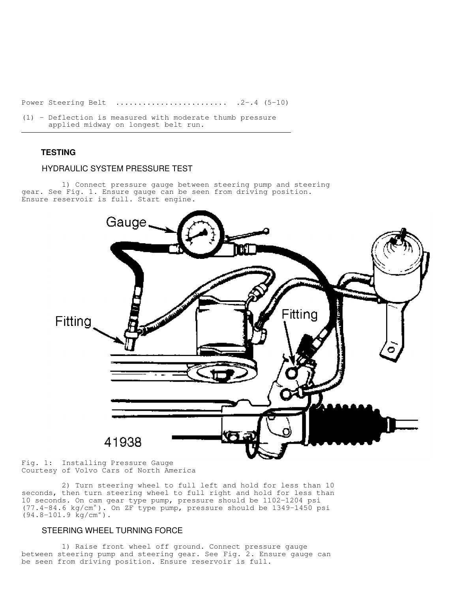Power Steering Belt ......................... .2-.4 (5-10)

(1) - Deflection is measured with moderate thumb pressure applied midway on longest belt run.

### **TESTING**

#### HYDRAULIC SYSTEM PRESSURE TEST

 1) Connect pressure gauge between steering pump and steering gear. See Fig. 1. Ensure gauge can be seen from driving position. Ensure reservoir is full. Start engine.



the contract of the contract of the contract of the contract of the contract of the contract of the contract of

Fig. 1: Installing Pressure Gauge Courtesy of Volvo Cars of North America

 2) Turn steering wheel to full left and hold for less than 10 seconds, then turn steering wheel to full right and hold for less than 10 seconds. On cam gear type pump, pressure should be 1102-1204 psi (77.4-84.6 kg/cm<sup>2</sup>). On ZF type pump, pressure should be 1349-1450 psi  $(94.8 - 101.9 \text{ kg/cm}^2)$ .

#### STEERING WHEEL TURNING FORCE

 1) Raise front wheel off ground. Connect pressure gauge between steering pump and steering gear. See Fig. 2. Ensure gauge can be seen from driving position. Ensure reservoir is full.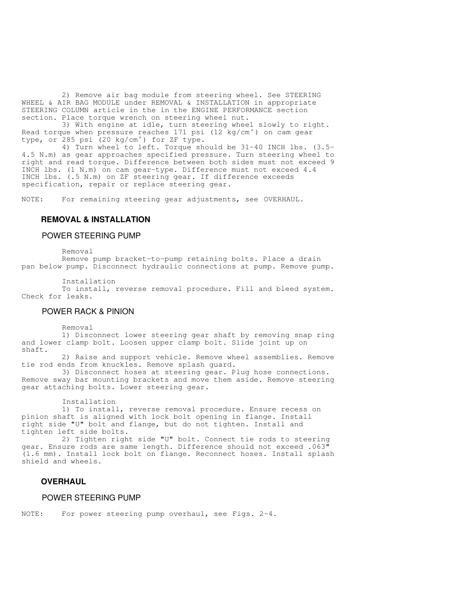2) Remove air bag module from steering wheel. See STEERING WHEEL & AIR BAG MODULE under REMOVAL & INSTALLATION in appropriate STEERING COLUMN article in the in the ENGINE PERFORMANCE section section. Place torque wrench on steering wheel nut.

 3) With engine at idle, turn steering wheel slowly to right. Read torque when pressure reaches 171 psi (12 kg/cm $^{\circ}$ ) on cam gear type, or 285 psi (20 kg/cm<sup>2</sup>) for ZF type.

 4) Turn wheel to left. Torque should be 31-40 INCH lbs. (3.5- 4.5 N.m) as gear approaches specified pressure. Turn steering wheel to right and read torque. Difference between both sides must not exceed 9 INCH lbs. (1 N.m) on cam gear-type. Difference must not exceed 4.4 INCH lbs. (.5 N.m) on ZF steering gear. If difference exceeds specification, repair or replace steering gear.

NOTE: For remaining steering gear adjustments, see OVERHAUL.

#### **REMOVAL & INSTALLATION**

#### POWER STEERING PUMP

Removal

 Remove pump bracket-to-pump retaining bolts. Place a drain pan below pump. Disconnect hydraulic connections at pump. Remove pump.

Installation

 To install, reverse removal procedure. Fill and bleed system. Check for leaks.

#### POWER RACK & PINION

Removal

 1) Disconnect lower steering gear shaft by removing snap ring and lower clamp bolt. Loosen upper clamp bolt. Slide joint up on shaft.

 2) Raise and support vehicle. Remove wheel assemblies. Remove tie rod ends from knuckles. Remove splash guard.

 3) Disconnect hoses at steering gear. Plug hose connections. Remove sway bar mounting brackets and move them aside. Remove steering gear attaching bolts. Lower steering gear.

Installation

 1) To install, reverse removal procedure. Ensure recess on pinion shaft is aligned with lock bolt opening in flange. Install right side "U" bolt and flange, but do not tighten. Install and tighten left side bolts.

 2) Tighten right side "U" bolt. Connect tie rods to steering gear. Ensure rods are same length. Difference should not exceed .063" (1.6 mm). Install lock bolt on flange. Reconnect hoses. Install splash shield and wheels.

#### **OVERHAUL**

#### POWER STEERING PUMP

NOTE: For power steering pump overhaul, see Figs. 2-4.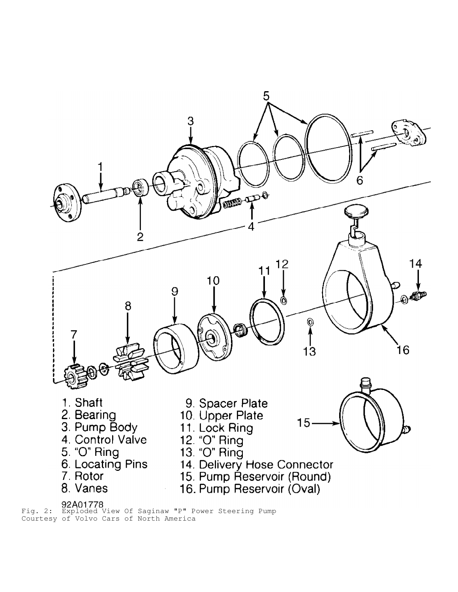

Fig. 2: Exploded View Of Saginaw "P" Power Steering Pump Courtesy of Volvo Cars of North America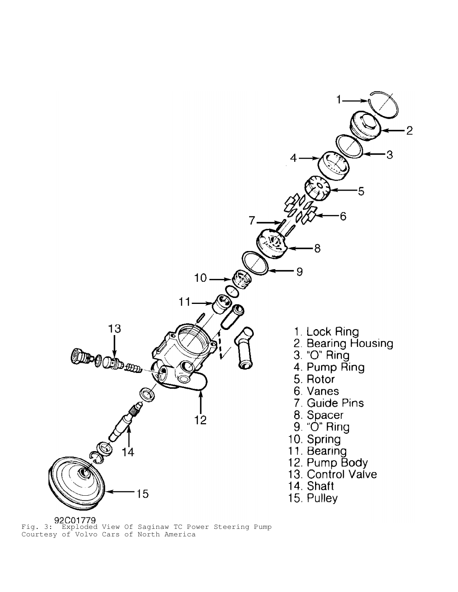

Fig. 3: Exploded View Of Saginaw TC Power Steering Pump Courtesy of Volvo Cars of North America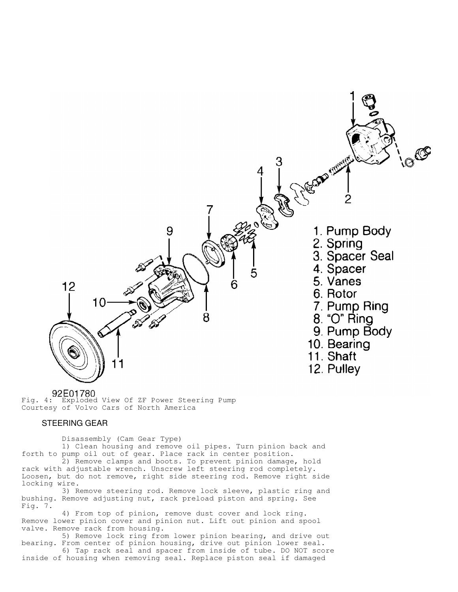

Fig. 4: Exploded View Of ZF Power Steering Pump Courtesy of Volvo Cars of North America

#### STEERING GEAR

Disassembly (Cam Gear Type)

 1) Clean housing and remove oil pipes. Turn pinion back and forth to pump oil out of gear. Place rack in center position.

 2) Remove clamps and boots. To prevent pinion damage, hold rack with adjustable wrench. Unscrew left steering rod completely. Loosen, but do not remove, right side steering rod. Remove right side locking wire.

 3) Remove steering rod. Remove lock sleeve, plastic ring and bushing. Remove adjusting nut, rack preload piston and spring. See Fig. 7.

 4) From top of pinion, remove dust cover and lock ring. Remove lower pinion cover and pinion nut. Lift out pinion and spool valve. Remove rack from housing.

 5) Remove lock ring from lower pinion bearing, and drive out bearing. From center of pinion housing, drive out pinion lower seal.

 6) Tap rack seal and spacer from inside of tube. DO NOT score inside of housing when removing seal. Replace piston seal if damaged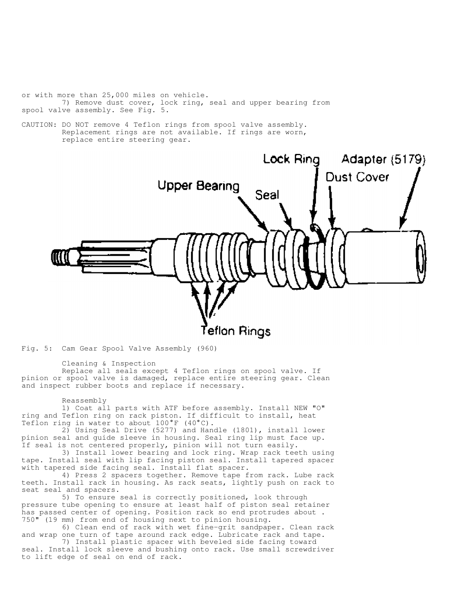or with more than 25,000 miles on vehicle. 7) Remove dust cover, lock ring, seal and upper bearing from spool valve assembly. See Fig. 5.

CAUTION: DO NOT remove 4 Teflon rings from spool valve assembly. Replacement rings are not available. If rings are worn, replace entire steering gear.



Fig. 5: Cam Gear Spool Valve Assembly (960)

Cleaning & Inspection

 Replace all seals except 4 Teflon rings on spool valve. If pinion or spool valve is damaged, replace entire steering gear. Clean and inspect rubber boots and replace if necessary.

Reassembly

 1) Coat all parts with ATF before assembly. Install NEW "O" ring and Teflon ring on rack piston. If difficult to install, heat Teflon ring in water to about 100°F (40°C).

 2) Using Seal Drive (5277) and Handle (1801), install lower pinion seal and guide sleeve in housing. Seal ring lip must face up. If seal is not centered properly, pinion will not turn easily.

 3) Install lower bearing and lock ring. Wrap rack teeth using tape. Install seal with lip facing piston seal. Install tapered spacer with tapered side facing seal. Install flat spacer.

 4) Press 2 spacers together. Remove tape from rack. Lube rack teeth. Install rack in housing. As rack seats, lightly push on rack to seat seal and spacers.

 5) To ensure seal is correctly positioned, look through pressure tube opening to ensure at least half of piston seal retainer has passed center of opening. Position rack so end protrudes about . 750" (19 mm) from end of housing next to pinion housing.

 6) Clean end of rack with wet fine-grit sandpaper. Clean rack and wrap one turn of tape around rack edge. Lubricate rack and tape.

 7) Install plastic spacer with beveled side facing toward seal. Install lock sleeve and bushing onto rack. Use small screwdriver to lift edge of seal on end of rack.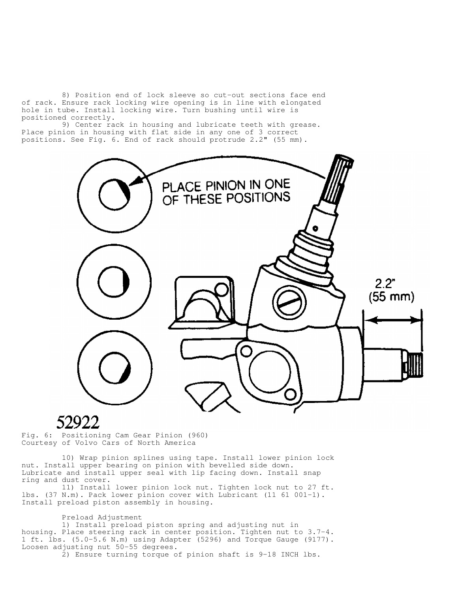8) Position end of lock sleeve so cut-out sections face end of rack. Ensure rack locking wire opening is in line with elongated hole in tube. Install locking wire. Turn bushing until wire is positioned correctly.

 9) Center rack in housing and lubricate teeth with grease. Place pinion in housing with flat side in any one of 3 correct positions. See Fig. 6. End of rack should protrude 2.2" (55 mm).



# 52922

Fig. 6: Positioning Cam Gear Pinion (960) Courtesy of Volvo Cars of North America

 10) Wrap pinion splines using tape. Install lower pinion lock nut. Install upper bearing on pinion with bevelled side down. Lubricate and install upper seal with lip facing down. Install snap ring and dust cover.

 11) Install lower pinion lock nut. Tighten lock nut to 27 ft. lbs. (37 N.m). Pack lower pinion cover with Lubricant (11 61 001-1). Install preload piston assembly in housing.

Preload Adjustment

 1) Install preload piston spring and adjusting nut in housing. Place steering rack in center position. Tighten nut to 3.7-4. 1 ft. lbs. (5.0-5.6 N.m) using Adapter (5296) and Torque Gauge (9177). Loosen adjusting nut 50-55 degrees.

2) Ensure turning torque of pinion shaft is 9-18 INCH lbs.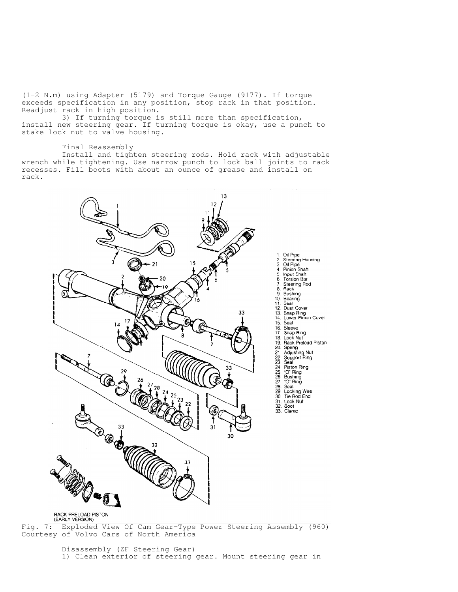(1-2 N.m) using Adapter (5179) and Torque Gauge (9177). If torque exceeds specification in any position, stop rack in that position. Readjust rack in high position.

 3) If turning torque is still more than specification, install new steering gear. If turning torque is okay, use a punch to stake lock nut to valve housing.

#### Final Reassembly

 Install and tighten steering rods. Hold rack with adjustable wrench while tightening. Use narrow punch to lock ball joints to rack recesses. Fill boots with about an ounce of grease and install on rack.



1. Oil Pipe<br>
2. Steering Housing<br>
3. Oil Pipe<br>
4. Dinion Shaft<br>
5. Input Shaft<br>
5. Input Shaft<br>
7. Steering Rod<br>
8. Bushing<br>
10. Bearing<br>
10. Bearing<br>
12. Dust Cover<br>
13. Snap Ring<br>
15. Seal<br>
16. Sleeve<br>
17. Snap Ring<br>
17.

## RACK PRELOAD PISTON<br>(EARLY VERSION)

Fig. 7: Exploded View Of Cam Gear-Type Power Steering Assembly (960) Courtesy of Volvo Cars of North America

> Disassembly (ZF Steering Gear) 1) Clean exterior of steering gear. Mount steering gear in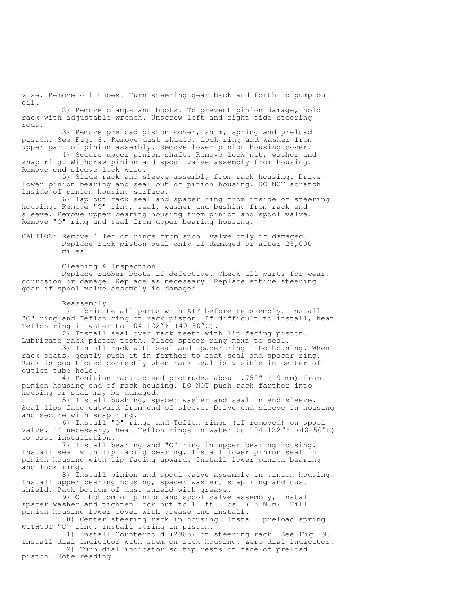vise. Remove oil tubes. Turn steering gear back and forth to pump out oil.

 2) Remove clamps and boots. To prevent pinion damage, hold rack with adjustable wrench. Unscrew left and right side steering rods.

 3) Remove preload piston cover, shim, spring and preload piston. See Fig. 8. Remove dust shield, lock ring and washer from upper part of pinion assembly. Remove lower pinion housing cover.

 4) Secure upper pinion shaft. Remove lock nut, washer and snap ring. Withdraw pinion and spool valve assembly from housing. Remove end sleeve lock wire.

 5) Slide rack and sleeve assembly from rack housing. Drive lower pinion bearing and seal out of pinion housing. DO NOT scratch inside of pinion housing surface.

 6) Tap out rack seal and spacer ring from inside of steering housing. Remove "O" ring, seal, washer and bushing from rack end sleeve. Remove upper bearing housing from pinion and spool valve. Remove "O" ring and seal from upper bearing housing.

CAUTION: Remove 4 Teflon rings from spool valve only if damaged. Replace rack piston seal only if damaged or after 25,000 miles.

 Cleaning & Inspection Replace rubber boots if defective. Check all parts for wear, corrosion or damage. Replace as necessary. Replace entire steering gear if spool valve assembly is damaged.

#### Reassembly

 1) Lubricate all parts with ATF before reassembly. Install "O" ring and Teflon ring on rack piston. If difficult to install, heat Teflon ring in water to  $104-122 \text{°F}$  (40-50°C).

 2) Install seal over rack teeth with lip facing piston. Lubricate rack piston teeth. Place spacer ring next to seal.

 3) Install rack with seal and spacer ring into housing. When rack seats, gently push it in farther to seat seal and spacer ring. Rack is positioned correctly when rack seal is visible in center of outlet tube hole.

 4) Position rack so end protrudes about .750" (19 mm) from pinion housing end of rack housing. DO NOT push rack farther into housing or seal may be damaged.

 5) Install bushing, spacer washer and seal in end sleeve. Seal lips face outward from end of sleeve. Drive end sleeve in housing and secure with snap ring.

 6) Install "O" rings and Teflon rings (if removed) on spool valve. If necessary, heat Teflon rings in water to 104-122°F (40-50°C) to ease installation.

 7) Install bearing and "O" ring in upper bearing housing. Install seal with lip facing bearing. Install lower pinion seal in pinion housing with lip facing upward. Install lower pinion bearing and lock ring.

 8) Install pinion and spool valve assembly in pinion housing. Install upper bearing housing, spacer washer, snap ring and dust shield. Pack bottom of dust shield with grease.

 9) On bottom of pinion and spool valve assembly, install spacer washer and tighten lock nut to 11 ft. lbs. (15 N.m). Fill pinion housing lower cover with grease and install.

 10) Center steering rack in housing. Install preload spring WITHOUT "O" ring. Install spring in piston.

 11) Install Counterhold (2985) on steering rack. See Fig. 9. Install dial indicator with stem on rack housing. Zero dial indicator. 12) Turn dial indicator so tip rests on face of preload

piston. Note reading.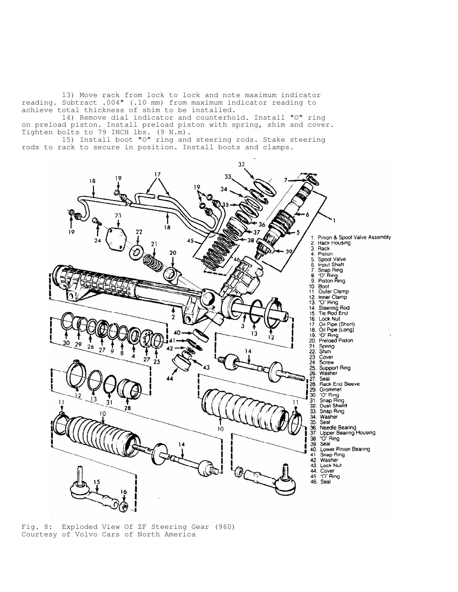13) Move rack from lock to lock and note maximum indicator reading. Subtract .004" (.10 mm) from maximum indicator reading to achieve total thickness of shim to be installed.

 14) Remove dial indicator and counterhold. Install "O" ring on preload piston. Install preload piston with spring, shim and cover. Tighten bolts to 79 INCH lbs. (9 N.m).

 15) Install boot "O" ring and steering rods. Stake steering rods to rack to secure in position. Install boots and clamps.



Fig. 8: Exploded View Of ZF Steering Gear (960) Courtesy of Volvo Cars of North America